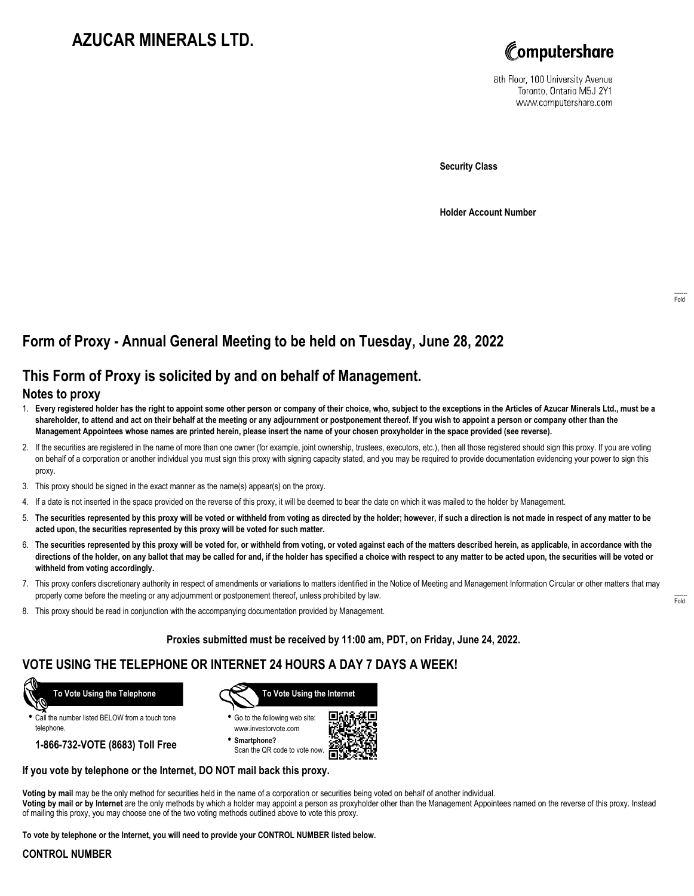# **AZUCAR MINERALS LTD.**



8th Floor, 100 University Avenue Toronto, Ontario M5J 2Y1 www.computershare.com

**Security Class**

**Holder Account Number**

## **Form of Proxy - Annual General Meeting to be held on Tuesday, June 28, 2022**

## **This Form of Proxy is solicited by and on behalf of Management.**

#### **Notes to proxy**

- 1. **Every registered holder has the right to appoint some other person or company of their choice, who, subject to the exceptions in the Articles of Azucar Minerals Ltd., must be a shareholder, to attend and act on their behalf at the meeting or any adjournment or postponement thereof. If you wish to appoint a person or company other than the Management Appointees whose names are printed herein, please insert the name of your chosen proxyholder in the space provided (see reverse).**
- 2. If the securities are registered in the name of more than one owner (for example, joint ownership, trustees, executors, etc.), then all those registered should sign this proxy. If you are voting on behalf of a corporation or another individual you must sign this proxy with signing capacity stated, and you may be required to provide documentation evidencing your power to sign this proxy.
- 3. This proxy should be signed in the exact manner as the name(s) appear(s) on the proxy.
- 4. If a date is not inserted in the space provided on the reverse of this proxy, it will be deemed to bear the date on which it was mailed to the holder by Management.
- 5. **The securities represented by this proxy will be voted or withheld from voting as directed by the holder; however, if such a direction is not made in respect of any matter to be acted upon, the securities represented by this proxy will be voted for such matter.**
- 6. **The securities represented by this proxy will be voted for, or withheld from voting, or voted against each of the matters described herein, as applicable, in accordance with the directions of the holder, on any ballot that may be called for and, if the holder has specified a choice with respect to any matter to be acted upon, the securities will be voted or withheld from voting accordingly.**
- 7. This proxy confers discretionary authority in respect of amendments or variations to matters identified in the Notice of Meeting and Management Information Circular or other matters that may properly come before the meeting or any adjournment or postponement thereof, unless prohibited by law.
- 8. This proxy should be read in conjunction with the accompanying documentation provided by Management.

**Proxies submitted must be received by 11:00 am, PDT, on Friday, June 24, 2022.**

## **VOTE USING THE TELEPHONE OR INTERNET 24 HOURS A DAY 7 DAYS A WEEK!**



**•** Call the number listed BELOW from a touch tone telephone.

**1-866-732-VOTE (8683) Toll Free**



**•** Go to the following web site: www.investorvote.com

**• Smartphone?** Scan the QR code to vote now.



#### **If you vote by telephone or the Internet, DO NOT mail back this proxy.**

**Voting by mail** may be the only method for securities held in the name of a corporation or securities being voted on behalf of another individual.

**Voting by mail or by Internet** are the only methods by which a holder may appoint a person as proxyholder other than the Management Appointees named on the reverse of this proxy. Instead of mailing this proxy, you may choose one of the two voting methods outlined above to vote this proxy.

**To vote by telephone or the Internet, you will need to provide your CONTROL NUMBER listed below.**

### **CONTROL NUMBER**